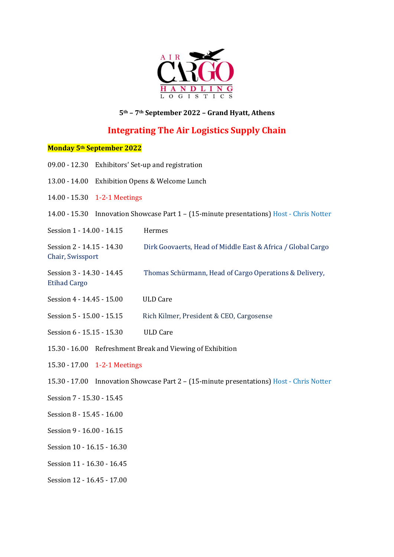

## **5th – 7th September 2022 – Grand Hyatt, Athens**

# **Integrating The Air Logistics Supply Chain**

## **Monday 5th September 2022**

| $09.00 - 12.30$                                                                                            | Exhibitors' Set-up and registration                                        |                                                             |
|------------------------------------------------------------------------------------------------------------|----------------------------------------------------------------------------|-------------------------------------------------------------|
| 13.00 - 14.00                                                                                              | Exhibition Opens & Welcome Lunch                                           |                                                             |
| 14.00 - 15.30                                                                                              | 1-2-1 Meetings                                                             |                                                             |
| $14.00 - 15.30$                                                                                            | Innovation Showcase Part 1 - (15-minute presentations) Host - Chris Notter |                                                             |
| Session 1 - 14.00 - 14.15                                                                                  |                                                                            | Hermes                                                      |
| Session 2 - 14.15 - 14.30<br>Chair, Swissport                                                              |                                                                            | Dirk Goovaerts, Head of Middle East & Africa / Global Cargo |
| Session 3 - 14.30 - 14.45<br>Thomas Schürmann, Head of Cargo Operations & Delivery,<br><b>Etihad Cargo</b> |                                                                            |                                                             |
| Session 4 - 14.45 - 15.00<br><b>ULD Care</b>                                                               |                                                                            |                                                             |
| Session 5 - 15.00 - 15.15                                                                                  |                                                                            | Rich Kilmer, President & CEO, Cargosense                    |
| Session 6 - 15.15 - 15.30                                                                                  |                                                                            | <b>ULD Care</b>                                             |
| $15.30 - 16.00$<br>Refreshment Break and Viewing of Exhibition                                             |                                                                            |                                                             |
| 15.30 - 17.00<br>1-2-1 Meetings                                                                            |                                                                            |                                                             |
| $15.30 - 17.00$<br>Innovation Showcase Part 2 - (15-minute presentations) Host - Chris Notter              |                                                                            |                                                             |
| Session 7 - 15.30 - 15.45                                                                                  |                                                                            |                                                             |
| Session 8 - 15.45 - 16.00                                                                                  |                                                                            |                                                             |
| Session 9 - 16.00 - 16.15                                                                                  |                                                                            |                                                             |
| Session 10 - 16.15 - 16.30                                                                                 |                                                                            |                                                             |
| Session 11 - 16.30 - 16.45                                                                                 |                                                                            |                                                             |
| Session 12 - 16.45 - 17.00                                                                                 |                                                                            |                                                             |
|                                                                                                            |                                                                            |                                                             |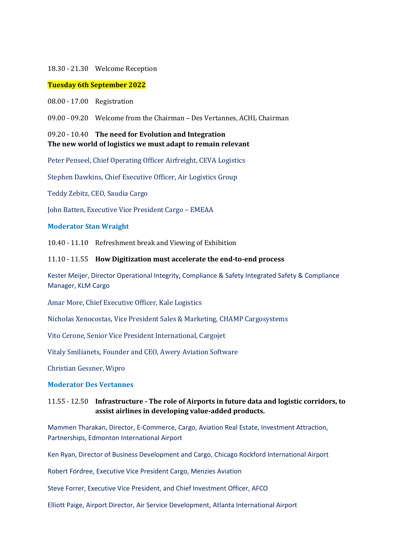#### 18.30 - 21.30 Welcome Reception

#### **Tuesday 6th September 2022**

08.00 - 17.00 Registration

09.00 - 09.20 Welcome from the Chairman – Des Vertannes, ACHL Chairman

## 09.20 - 10.40 **The need for Evolution and Integration The new world of logistics we must adapt to remain relevant**

Peter Penseel, Chief Operating Officer Airfreight, CEVA Logistics

Stephen Dawkins, Chief Executive Officer, Air Logistics Group

Teddy Zebitz, CEO, Saudia Cargo

John Batten, Executive Vice President Cargo – EMEAA

#### **Moderator Stan Wraight**

10.40 - 11.10 Refreshment break and Viewing of Exhibition

#### 11.10 - 11.55 **How Digitization must accelerate the end-to-end process**

Kester Meijer, Director Operational Integrity, Compliance & Safety Integrated Safety & Compliance Manager, KLM Cargo

Amar More, Chief Executive Officer, Kale Logistics

Nicholas Xenocostas, Vice President Sales & Marketing, CHAMP Cargosystems

Vito Cerone, Senior Vice President International, Cargojet

Vitaly Smilianets, Founder and CEO, Awery Aviation Software

Christian Gessner, Wipro

#### **Moderator Des Vertannes**

## 11.55 - 12.50 **Infrastructure - The role of Airports in future data and logistic corridors, to assist airlines in developing value-added products.**

Mammen Tharakan, Director, E-Commerce, Cargo, Aviation Real Estate, Investment Attraction, Partnerships, Edmonton International Airport

Ken Ryan, Director of Business Development and Cargo, Chicago Rockford International Airport

Robert Fordree, Executive Vice President Cargo, Menzies Aviation

Steve Forrer, Executive Vice President, and Chief Investment Officer, AFCO

Elliott Paige, Airport Director, Air Service Development, Atlanta International Airport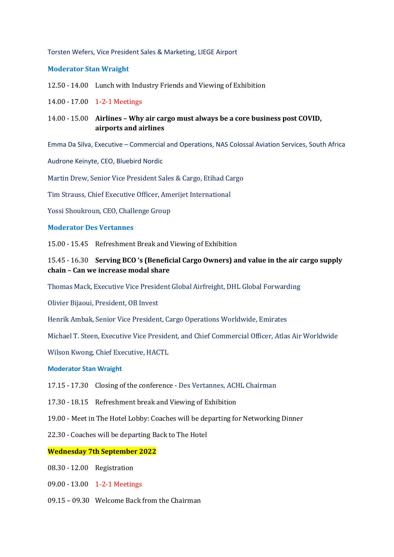#### Torsten Wefers, Vice President Sales & Marketing, LIEGE Airport

#### **Moderator Stan Wraight**

- 12.50 14.00 Lunch with Industry Friends and Viewing of Exhibition
- 14.00 17.00 1-2-1 Meetings
- 14.00 15.00 **Airlines – Why air cargo must always be a core business post COVID, airports and airlines**

Emma Da Silva, Executive – Commercial and Operations, NAS Colossal Aviation Services, South Africa

Audrone Keinyte, CEO, Bluebird Nordic

Martin Drew, Senior Vice President Sales & Cargo, Etihad Cargo

Tim Strauss, Chief Executive Officer, Amerijet International

Yossi Shoukroun, CEO, Challenge Group

#### **Moderator Des Vertannes**

15.00 - 15.45 Refreshment Break and Viewing of Exhibition

## 15.45 - 16.30 **Serving BCO 's (Beneficial Cargo Owners) and value in the air cargo supply chain – Can we increase modal share**

Thomas Mack, Executive Vice President Global Airfreight, DHL Global Forwarding

Olivier Bijaoui, President, OB Invest

Henrik Ambak, Senior Vice President, Cargo Operations Worldwide, Emirates

Michael T. Steen, Executive Vice President, and Chief Commercial Officer, Atlas Air Worldwide

Wilson Kwong, Chief Executive, HACTL

#### **Moderator Stan Wraight**

- 17.15 17.30 Closing of the conference Des Vertannes, ACHL Chairman
- 17.30 18.15 Refreshment break and Viewing of Exhibition
- 19.00 Meet in The Hotel Lobby: Coaches will be departing for Networking Dinner
- 22.30 Coaches will be departing Back to The Hotel

#### **Wednesday 7th September 2022**

- 08.30 12.00 Registration
- 09.00 13.00 1-2-1 Meetings
- 09.15 09.30 Welcome Back from the Chairman